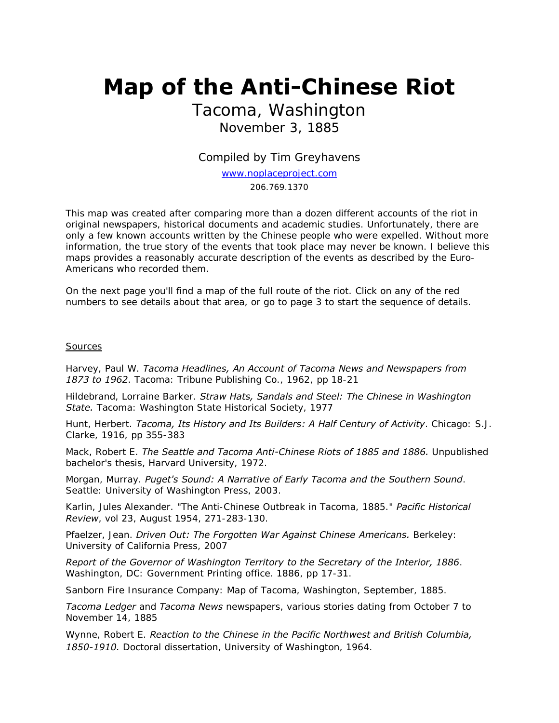# **Map of the Anti-Chinese Riot**

## Tacoma, Washington November 3, 1885

Compiled by Tim Greyhavens

[www.noplaceproject.com](http://www.noplaceproject.com/) 

206.769.1370

This map was created after comparing more than a dozen different accounts of the riot in original newspapers, historical documents and academic studies. Unfortunately, there are only a few known accounts written by the Chinese people who were expelled. Without more information, the true story of the events that took place may never be known. I believe this maps provides a reasonably accurate description of the events as described by the Euro-Americans who recorded them.

On the next page you'll find a map of the full route of the riot. Click on any of the red numbers to see details about that area, or go to page 3 to start the sequence of details.

#### **Sources**

Harvey, Paul W. *Tacoma Headlines, An Account of Tacoma News and Newspapers from 1873 to 1962*. Tacoma: Tribune Publishing Co., 1962, pp 18-21

Hildebrand, Lorraine Barker. *Straw Hats, Sandals and Steel: The Chinese in Washington State.* Tacoma: Washington State Historical Society, 1977

Hunt, Herbert. *Tacoma, Its History and Its Builders: A Half Century of Activity*. Chicago: S.J. Clarke, 1916, pp 355-383

Mack, Robert E. *The Seattle and Tacoma Anti-Chinese Riots of 1885 and 1886.* Unpublished bachelor's thesis, Harvard University, 1972.

Morgan, Murray. *Puget's Sound: A Narrative of Early Tacoma and the Southern Sound*. Seattle: University of Washington Press, 2003.

Karlin, Jules Alexander. "The Anti-Chinese Outbreak in Tacoma, 1885." *Pacific Historical Review*, vol 23, August 1954, 271-283-130.

Pfaelzer, Jean. *Driven Out: The Forgotten War Against Chinese Americans.* Berkeley: University of California Press, 2007

*Report of the Governor of Washington Territory to the Secretary of the Interior, 1886*. Washington, DC: Government Printing office. 1886, pp 17-31.

Sanborn Fire Insurance Company: Map of Tacoma, Washington, September, 1885.

*Tacoma Ledger* and *Tacoma News* newspapers, various stories dating from October 7 to November 14, 1885

Wynne, Robert E. *Reaction to the Chinese in the Pacific Northwest and British Columbia, 1850-1910.* Doctoral dissertation, University of Washington, 1964.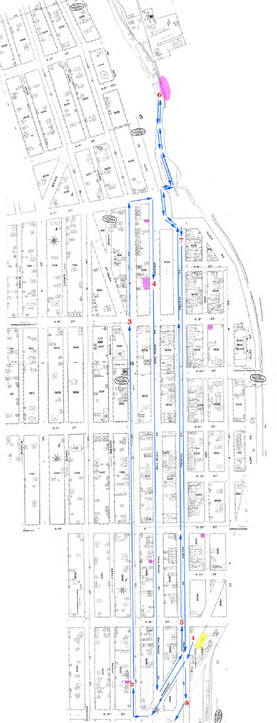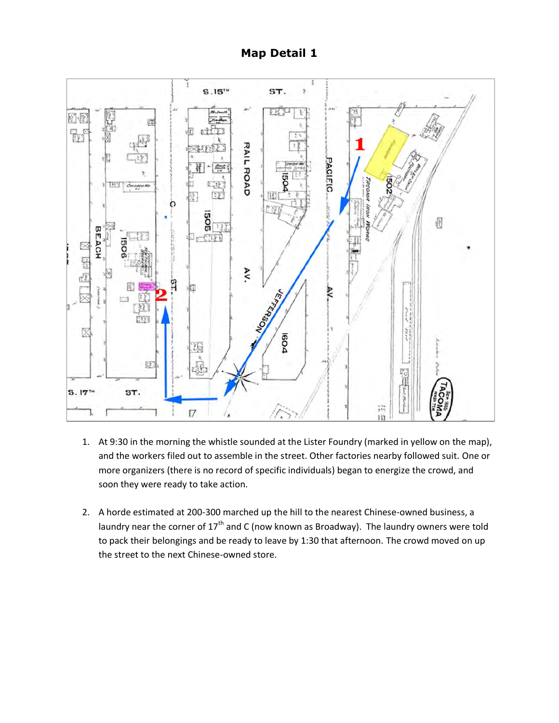

- 1. At 9:30 in the morning the whistle sounded at the Lister Foundry (marked in yellow on the map), and the workers filed out to assemble in the street. Other factories nearby followed suit. One or more organizers (there is no record of specific individuals) began to energize the crowd, and soon they were ready to take action.
- 2. A horde estimated at 200-300 marched up the hill to the nearest Chinese-owned business, a laundry near the corner of  $17<sup>th</sup>$  and C (now known as Broadway). The laundry owners were told to pack their belongings and be ready to leave by 1:30 that afternoon. The crowd moved on up the street to the next Chinese-owned store.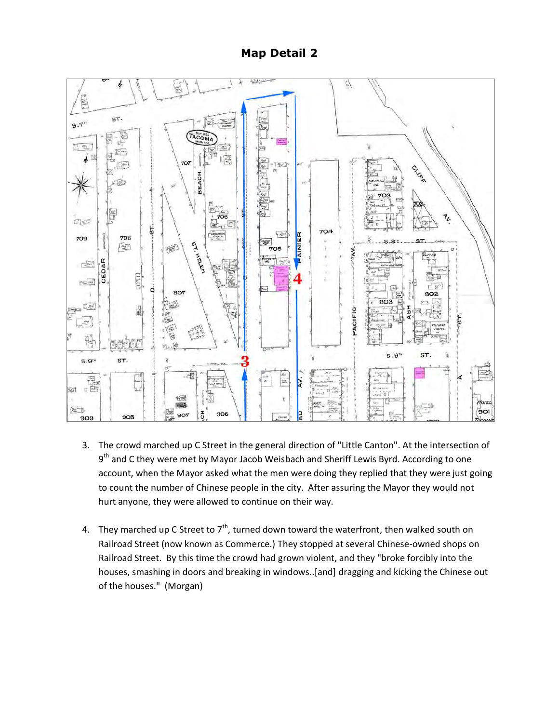

- 3. The crowd marched up C Street in the general direction of "Little Canton". At the intersection of 9<sup>th</sup> and C they were met by Mayor Jacob Weisbach and Sheriff Lewis Byrd. According to one account, when the Mayor asked what the men were doing they replied that they were just going to count the number of Chinese people in the city. After assuring the Mayor they would not hurt anyone, they were allowed to continue on their way.
- 4. They marched up C Street to  $7<sup>th</sup>$ , turned down toward the waterfront, then walked south on Railroad Street (now known as Commerce.) They stopped at several Chinese-owned shops on Railroad Street. By this time the crowd had grown violent, and they "broke forcibly into the houses, smashing in doors and breaking in windows..[and] dragging and kicking the Chinese out of the houses." (Morgan)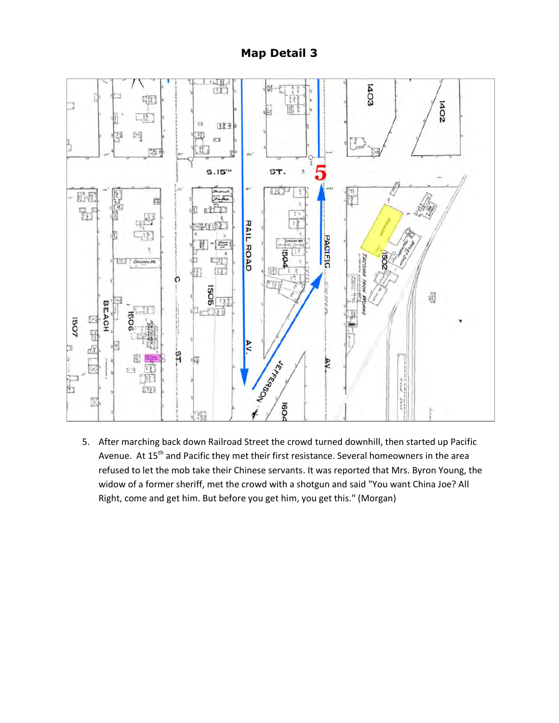## **Map Detail 3**



5. After marching back down Railroad Street the crowd turned downhill, then started up Pacific Avenue. At 15<sup>th</sup> and Pacific they met their first resistance. Several homeowners in the area refused to let the mob take their Chinese servants. It was reported that Mrs. Byron Young, the widow of a former sheriff, met the crowd with a shotgun and said "You want China Joe? All Right, come and get him. But before you get him, you get this." (Morgan)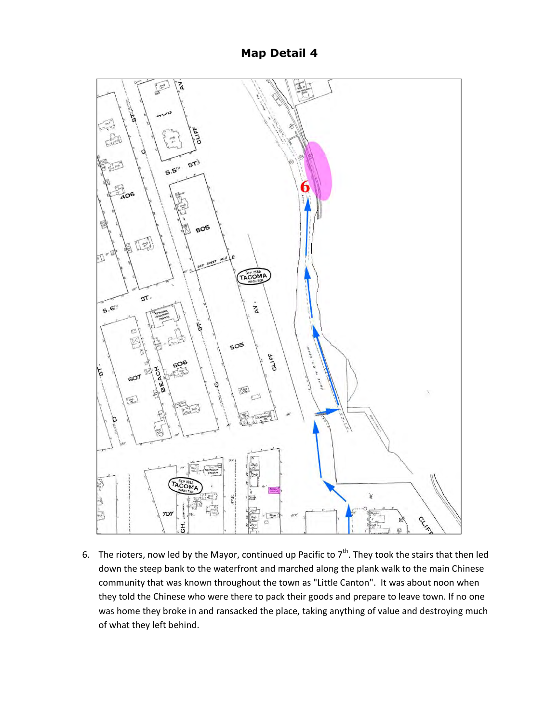

6. The rioters, now led by the Mayor, continued up Pacific to  $7<sup>th</sup>$ . They took the stairs that then led down the steep bank to the waterfront and marched along the plank walk to the main Chinese community that was known throughout the town as "Little Canton". It was about noon when they told the Chinese who were there to pack their goods and prepare to leave town. If no one was home they broke in and ransacked the place, taking anything of value and destroying much of what they left behind.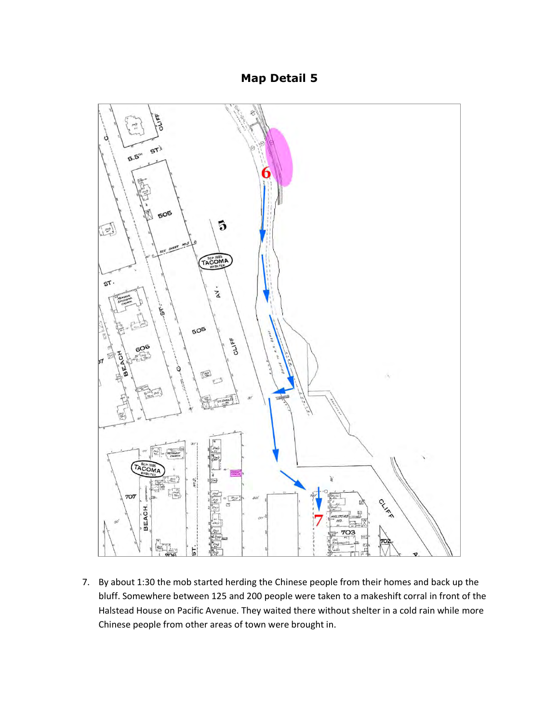### **Map Detail 5**



7. By about 1:30 the mob started herding the Chinese people from their homes and back up the bluff. Somewhere between 125 and 200 people were taken to a makeshift corral in front of the Halstead House on Pacific Avenue. They waited there without shelter in a cold rain while more Chinese people from other areas of town were brought in.